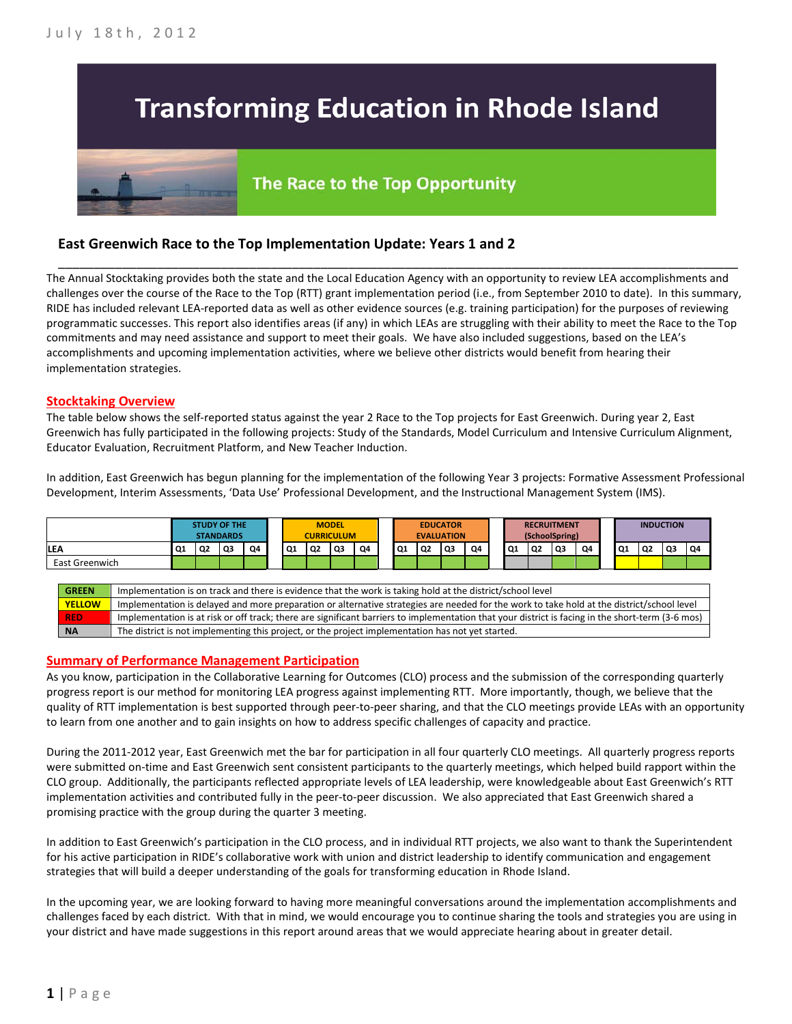# **Transforming Education in Rhode Island**

## The Race to the Top Opportunity

### **East Greenwich Race to the Top Implementation Update: Years 1 and 2**

The Annual Stocktaking provides both the state and the Local Education Agency with an opportunity to review LEA accomplishments and challenges over the course of the Race to the Top (RTT) grant implementation period (i.e., from September 2010 to date). In this summary, RIDE has included relevant LEA-reported data as well as other evidence sources (e.g. training participation) for the purposes of reviewing programmatic successes. This report also identifies areas (if any) in which LEAs are struggling with their ability to meet the Race to the Top commitments and may need assistance and support to meet their goals. We have also included suggestions, based on the LEA's accomplishments and upcoming implementation activities, where we believe other districts would benefit from hearing their implementation strategies.

\_\_\_\_\_\_\_\_\_\_\_\_\_\_\_\_\_\_\_\_\_\_\_\_\_\_\_\_\_\_\_\_\_\_\_\_\_\_\_\_\_\_\_\_\_\_\_\_\_\_\_\_\_\_\_\_\_\_\_\_\_\_\_\_\_\_\_\_\_\_\_\_\_\_\_\_\_\_\_\_\_\_\_\_\_\_\_\_\_\_\_\_\_\_\_\_

#### **Stocktaking Overview**

The table below shows the self-reported status against the year 2 Race to the Top projects for East Greenwich. During year 2, East Greenwich has fully participated in the following projects: Study of the Standards, Model Curriculum and Intensive Curriculum Alignment, Educator Evaluation, Recruitment Platform, and New Teacher Induction.

In addition, East Greenwich has begun planning for the implementation of the following Year 3 projects: Formative Assessment Professional Development, Interim Assessments, 'Data Use' Professional Development, and the Instructional Management System (IMS).



**YELLOW** Implementation is delayed and more preparation or alternative strategies are needed for the work to take hold at the district/school level **RED** Implementation is at risk or off track; there are significant barriers to implementation that your district is facing in the short-term (3-6 mos) **NA** The district is not implementing this project, or the project implementation has not yet started.

#### **Summary of Performance Management Participation**

As you know, participation in the Collaborative Learning for Outcomes (CLO) process and the submission of the corresponding quarterly progress report is our method for monitoring LEA progress against implementing RTT. More importantly, though, we believe that the quality of RTT implementation is best supported through peer-to-peer sharing, and that the CLO meetings provide LEAs with an opportunity to learn from one another and to gain insights on how to address specific challenges of capacity and practice.

During the 2011-2012 year, East Greenwich met the bar for participation in all four quarterly CLO meetings. All quarterly progress reports were submitted on-time and East Greenwich sent consistent participants to the quarterly meetings, which helped build rapport within the CLO group. Additionally, the participants reflected appropriate levels of LEA leadership, were knowledgeable about East Greenwich's RTT implementation activities and contributed fully in the peer-to-peer discussion. We also appreciated that East Greenwich shared a promising practice with the group during the quarter 3 meeting.

In addition to East Greenwich's participation in the CLO process, and in individual RTT projects, we also want to thank the Superintendent for his active participation in RIDE's collaborative work with union and district leadership to identify communication and engagement strategies that will build a deeper understanding of the goals for transforming education in Rhode Island.

In the upcoming year, we are looking forward to having more meaningful conversations around the implementation accomplishments and challenges faced by each district. With that in mind, we would encourage you to continue sharing the tools and strategies you are using in your district and have made suggestions in this report around areas that we would appreciate hearing about in greater detail.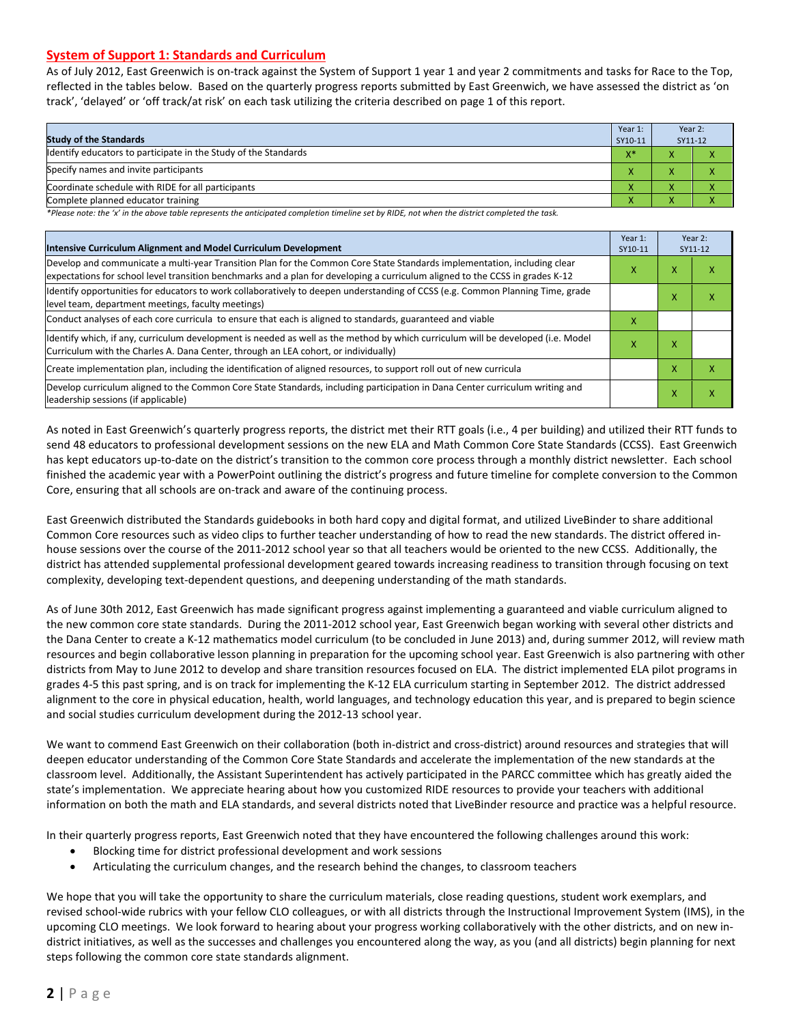#### **System of Support 1: Standards and Curriculum**

As of July 2012, East Greenwich is on-track against the System of Support 1 year 1 and year 2 commitments and tasks for Race to the Top, reflected in the tables below. Based on the quarterly progress reports submitted by East Greenwich, we have assessed the district as 'on track', 'delayed' or 'off track/at risk' on each task utilizing the criteria described on page 1 of this report.

| <b>Study of the Standards</b>                                   | Year 1:<br>SY10-11 | Year 2:<br>SY11-12 |  |
|-----------------------------------------------------------------|--------------------|--------------------|--|
| Identify educators to participate in the Study of the Standards | $X^*$              |                    |  |
| Specify names and invite participants                           |                    |                    |  |
| Coordinate schedule with RIDE for all participants              |                    |                    |  |
| Complete planned educator training                              | Λ                  | ∧                  |  |

*\*Please note: the 'x' in the above table represents the anticipated completion timeline set by RIDE, not when the district completed the task.*

| Intensive Curriculum Alignment and Model Curriculum Development                                                                                                                                                                                           |   |   | Year 2:<br>SY11-12 |  |
|-----------------------------------------------------------------------------------------------------------------------------------------------------------------------------------------------------------------------------------------------------------|---|---|--------------------|--|
| Develop and communicate a multi-year Transition Plan for the Common Core State Standards implementation, including clear<br>expectations for school level transition benchmarks and a plan for developing a curriculum aligned to the CCSS in grades K-12 |   |   | ⋏                  |  |
| Identify opportunities for educators to work collaboratively to deepen understanding of CCSS (e.g. Common Planning Time, grade<br>level team, department meetings, faculty meetings)                                                                      |   | x | x                  |  |
| Conduct analyses of each core curricula to ensure that each is aligned to standards, guaranteed and viable                                                                                                                                                | х |   |                    |  |
| ldentify which, if any, curriculum development is needed as well as the method by which curriculum will be developed (i.e. Model<br>Curriculum with the Charles A. Dana Center, through an LEA cohort, or individually)                                   |   |   |                    |  |
| Create implementation plan, including the identification of aligned resources, to support roll out of new curricula                                                                                                                                       |   |   | x                  |  |
| Develop curriculum aligned to the Common Core State Standards, including participation in Dana Center curriculum writing and<br>leadership sessions (if applicable)                                                                                       |   | X | Χ                  |  |

As noted in East Greenwich's quarterly progress reports, the district met their RTT goals (i.e., 4 per building) and utilized their RTT funds to send 48 educators to professional development sessions on the new ELA and Math Common Core State Standards (CCSS). East Greenwich has kept educators up-to-date on the district's transition to the common core process through a monthly district newsletter. Each school finished the academic year with a PowerPoint outlining the district's progress and future timeline for complete conversion to the Common Core, ensuring that all schools are on-track and aware of the continuing process.

East Greenwich distributed the Standards guidebooks in both hard copy and digital format, and utilized LiveBinder to share additional Common Core resources such as video clips to further teacher understanding of how to read the new standards. The district offered inhouse sessions over the course of the 2011-2012 school year so that all teachers would be oriented to the new CCSS. Additionally, the district has attended supplemental professional development geared towards increasing readiness to transition through focusing on text complexity, developing text-dependent questions, and deepening understanding of the math standards.

As of June 30th 2012, East Greenwich has made significant progress against implementing a guaranteed and viable curriculum aligned to the new common core state standards. During the 2011-2012 school year, East Greenwich began working with several other districts and the Dana Center to create a K-12 mathematics model curriculum (to be concluded in June 2013) and, during summer 2012, will review math resources and begin collaborative lesson planning in preparation for the upcoming school year. East Greenwich is also partnering with other districts from May to June 2012 to develop and share transition resources focused on ELA. The district implemented ELA pilot programs in grades 4-5 this past spring, and is on track for implementing the K-12 ELA curriculum starting in September 2012. The district addressed alignment to the core in physical education, health, world languages, and technology education this year, and is prepared to begin science and social studies curriculum development during the 2012-13 school year.

We want to commend East Greenwich on their collaboration (both in-district and cross-district) around resources and strategies that will deepen educator understanding of the Common Core State Standards and accelerate the implementation of the new standards at the classroom level. Additionally, the Assistant Superintendent has actively participated in the PARCC committee which has greatly aided the state's implementation. We appreciate hearing about how you customized RIDE resources to provide your teachers with additional information on both the math and ELA standards, and several districts noted that LiveBinder resource and practice was a helpful resource.

In their quarterly progress reports, East Greenwich noted that they have encountered the following challenges around this work:

- Blocking time for district professional development and work sessions
- Articulating the curriculum changes, and the research behind the changes, to classroom teachers

We hope that you will take the opportunity to share the curriculum materials, close reading questions, student work exemplars, and revised school-wide rubrics with your fellow CLO colleagues, or with all districts through the Instructional Improvement System (IMS), in the upcoming CLO meetings. We look forward to hearing about your progress working collaboratively with the other districts, and on new indistrict initiatives, as well as the successes and challenges you encountered along the way, as you (and all districts) begin planning for next steps following the common core state standards alignment.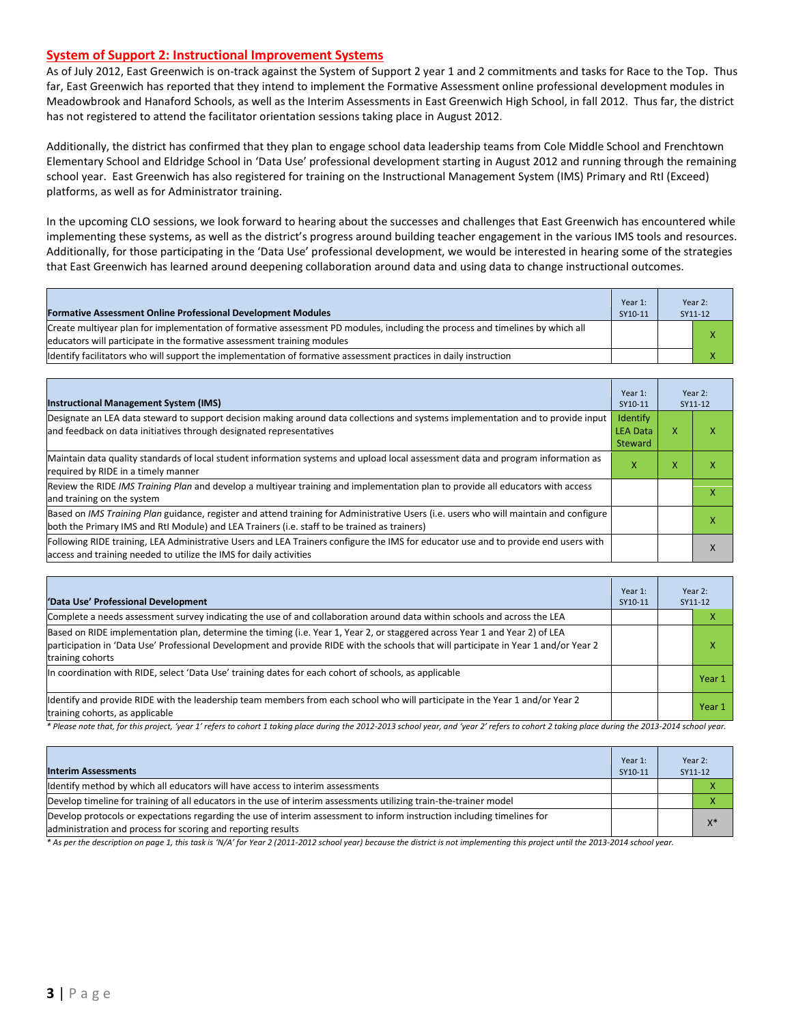#### **System of Support 2: Instructional Improvement Systems**

As of July 2012, East Greenwich is on-track against the System of Support 2 year 1 and 2 commitments and tasks for Race to the Top. Thus far, East Greenwich has reported that they intend to implement the Formative Assessment online professional development modules in Meadowbrook and Hanaford Schools, as well as the Interim Assessments in East Greenwich High School, in fall 2012. Thus far, the district has not registered to attend the facilitator orientation sessions taking place in August 2012.

Additionally, the district has confirmed that they plan to engage school data leadership teams from Cole Middle School and Frenchtown Elementary School and Eldridge School in 'Data Use' professional development starting in August 2012 and running through the remaining school year. East Greenwich has also registered for training on the Instructional Management System (IMS) Primary and RtI (Exceed) platforms, as well as for Administrator training.

In the upcoming CLO sessions, we look forward to hearing about the successes and challenges that East Greenwich has encountered while implementing these systems, as well as the district's progress around building teacher engagement in the various IMS tools and resources. Additionally, for those participating in the 'Data Use' professional development, we would be interested in hearing some of the strategies that East Greenwich has learned around deepening collaboration around data and using data to change instructional outcomes.

| Formative Assessment Online Professional Development Modules                                                                                                                                             | Year 1:<br>SY10-11 | Year 2:<br>SY11-12 |
|----------------------------------------------------------------------------------------------------------------------------------------------------------------------------------------------------------|--------------------|--------------------|
| Create multivear plan for implementation of formative assessment PD modules, including the process and timelines by which all<br>educators will participate in the formative assessment training modules |                    |                    |
| Identify facilitators who will support the implementation of formative assessment practices in daily instruction                                                                                         |                    |                    |

| <b>Instructional Management System (IMS)</b>                                                                                                                                                                                           | Year 1:<br>SY10-11                     |   | Year 2:<br>SY11-12 |
|----------------------------------------------------------------------------------------------------------------------------------------------------------------------------------------------------------------------------------------|----------------------------------------|---|--------------------|
| Designate an LEA data steward to support decision making around data collections and systems implementation and to provide input<br>and feedback on data initiatives through designated representatives                                | Identify<br><b>LEA Data</b><br>Steward | x |                    |
| Maintain data quality standards of local student information systems and upload local assessment data and program information as<br>required by RIDE in a timely manner                                                                | X                                      | x | ⋏                  |
| Review the RIDE IMS Training Plan and develop a multivear training and implementation plan to provide all educators with access<br>and training on the system                                                                          |                                        |   |                    |
| Based on IMS Training Plan guidance, register and attend training for Administrative Users (i.e. users who will maintain and configure<br>both the Primary IMS and RtI Module) and LEA Trainers (i.e. staff to be trained as trainers) |                                        |   |                    |
| Following RIDE training, LEA Administrative Users and LEA Trainers configure the IMS for educator use and to provide end users with<br>access and training needed to utilize the IMS for daily activities                              |                                        |   | x                  |

| 'Data Use' Professional Development                                                                                                                                                                                                                                                     | Year 1:<br>SY10-11 | Year 2:<br>SY11-12 |
|-----------------------------------------------------------------------------------------------------------------------------------------------------------------------------------------------------------------------------------------------------------------------------------------|--------------------|--------------------|
| Complete a needs assessment survey indicating the use of and collaboration around data within schools and across the LEA                                                                                                                                                                |                    | л                  |
| Based on RIDE implementation plan, determine the timing (i.e. Year 1, Year 2, or staggered across Year 1 and Year 2) of LEA<br>participation in 'Data Use' Professional Development and provide RIDE with the schools that will participate in Year 1 and/or Year 2<br>training cohorts |                    | χ                  |
| In coordination with RIDE, select 'Data Use' training dates for each cohort of schools, as applicable                                                                                                                                                                                   |                    | Year 1             |
| Identify and provide RIDE with the leadership team members from each school who will participate in the Year 1 and/or Year 2<br>training cohorts, as applicable                                                                                                                         |                    | Year 1             |

*\* Please note that, for this project, 'year 1' refers to cohort 1 taking place during the 2012-2013 school year, and 'year 2' refers to cohort 2 taking place during the 2013-2014 school year.*

| <b>Interim Assessments</b>                                                                                                                                                              | Year 1:<br>SY10-11 | Year 2:<br>SY11-12 |       |
|-----------------------------------------------------------------------------------------------------------------------------------------------------------------------------------------|--------------------|--------------------|-------|
| Identify method by which all educators will have access to interim assessments                                                                                                          |                    |                    |       |
| Develop timeline for training of all educators in the use of interim assessments utilizing train-the-trainer model                                                                      |                    |                    |       |
| Develop protocols or expectations regarding the use of interim assessment to inform instruction including timelines for<br>administration and process for scoring and reporting results |                    |                    | $X^*$ |

*\* As per the description on page 1, this task is 'N/A' for Year 2 (2011-2012 school year) because the district is not implementing this project until the 2013-2014 school year.*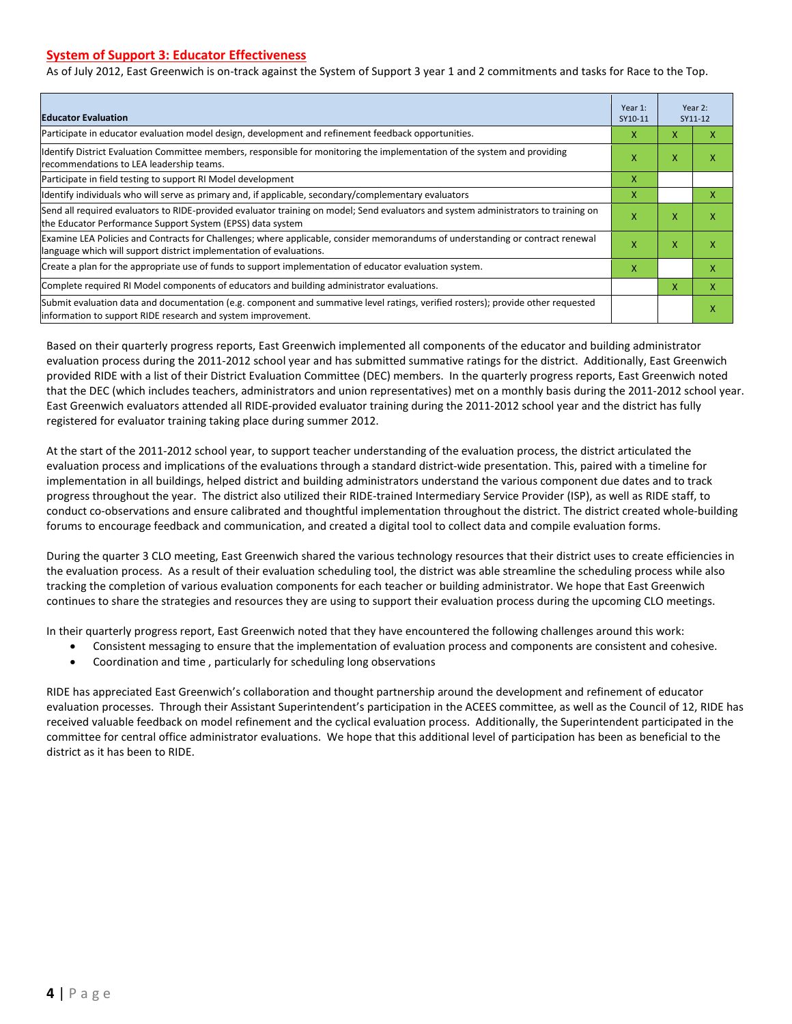#### **System of Support 3: Educator Effectiveness**

As of July 2012, East Greenwich is on-track against the System of Support 3 year 1 and 2 commitments and tasks for Race to the Top.

| <b>Educator Evaluation</b>                                                                                                                                                                            |   |   | Year 2:<br>SY11-12 |  |
|-------------------------------------------------------------------------------------------------------------------------------------------------------------------------------------------------------|---|---|--------------------|--|
| Participate in educator evaluation model design, development and refinement feedback opportunities.                                                                                                   | x | x | x                  |  |
| Identify District Evaluation Committee members, responsible for monitoring the implementation of the system and providing<br>recommendations to LEA leadership teams.                                 | x | X | X                  |  |
| Participate in field testing to support RI Model development                                                                                                                                          | X |   |                    |  |
| Identify individuals who will serve as primary and, if applicable, secondary/complementary evaluators                                                                                                 | X |   | x                  |  |
| Send all required evaluators to RIDE-provided evaluator training on model; Send evaluators and system administrators to training on<br>the Educator Performance Support System (EPSS) data system     | X | X | X                  |  |
| Examine LEA Policies and Contracts for Challenges; where applicable, consider memorandums of understanding or contract renewal<br>language which will support district implementation of evaluations. |   | X | X                  |  |
| Create a plan for the appropriate use of funds to support implementation of educator evaluation system.                                                                                               |   |   | x                  |  |
| Complete required RI Model components of educators and building administrator evaluations.                                                                                                            |   |   | x                  |  |
| Submit evaluation data and documentation (e.g. component and summative level ratings, verified rosters); provide other requested<br>linformation to support RIDE research and system improvement.     |   |   | X                  |  |

Based on their quarterly progress reports, East Greenwich implemented all components of the educator and building administrator evaluation process during the 2011-2012 school year and has submitted summative ratings for the district. Additionally, East Greenwich provided RIDE with a list of their District Evaluation Committee (DEC) members. In the quarterly progress reports, East Greenwich noted that the DEC (which includes teachers, administrators and union representatives) met on a monthly basis during the 2011-2012 school year. East Greenwich evaluators attended all RIDE-provided evaluator training during the 2011-2012 school year and the district has fully registered for evaluator training taking place during summer 2012.

At the start of the 2011-2012 school year, to support teacher understanding of the evaluation process, the district articulated the evaluation process and implications of the evaluations through a standard district-wide presentation. This, paired with a timeline for implementation in all buildings, helped district and building administrators understand the various component due dates and to track progress throughout the year. The district also utilized their RIDE-trained Intermediary Service Provider (ISP), as well as RIDE staff, to conduct co-observations and ensure calibrated and thoughtful implementation throughout the district. The district created whole-building forums to encourage feedback and communication, and created a digital tool to collect data and compile evaluation forms.

During the quarter 3 CLO meeting, East Greenwich shared the various technology resources that their district uses to create efficiencies in the evaluation process. As a result of their evaluation scheduling tool, the district was able streamline the scheduling process while also tracking the completion of various evaluation components for each teacher or building administrator. We hope that East Greenwich continues to share the strategies and resources they are using to support their evaluation process during the upcoming CLO meetings.

In their quarterly progress report, East Greenwich noted that they have encountered the following challenges around this work:

- Consistent messaging to ensure that the implementation of evaluation process and components are consistent and cohesive.
- Coordination and time , particularly for scheduling long observations

RIDE has appreciated East Greenwich's collaboration and thought partnership around the development and refinement of educator evaluation processes. Through their Assistant Superintendent's participation in the ACEES committee, as well as the Council of 12, RIDE has received valuable feedback on model refinement and the cyclical evaluation process. Additionally, the Superintendent participated in the committee for central office administrator evaluations. We hope that this additional level of participation has been as beneficial to the district as it has been to RIDE.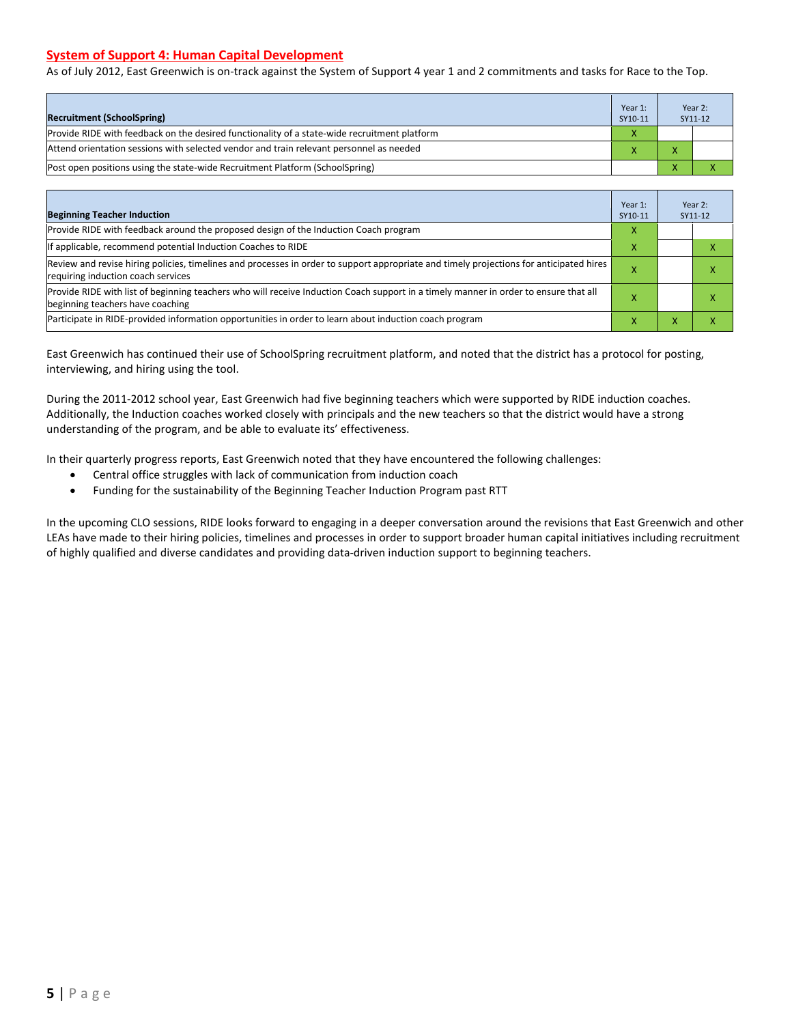#### **System of Support 4: Human Capital Development**

As of July 2012, East Greenwich is on-track against the System of Support 4 year 1 and 2 commitments and tasks for Race to the Top.

| <b>Recruitment (SchoolSpring)</b>                                                            | Year 1:<br>SY10-11 |              | Year 2:<br>SY11-12 |
|----------------------------------------------------------------------------------------------|--------------------|--------------|--------------------|
| Provide RIDE with feedback on the desired functionality of a state-wide recruitment platform |                    |              |                    |
| Attend orientation sessions with selected vendor and train relevant personnel as needed      |                    | $\mathbf{v}$ |                    |
| (Post open positions using the state-wide Recruitment Platform (SchoolSpring)                |                    |              |                    |

| <b>Beginning Teacher Induction</b>                                                                                                                                            | Year 1:<br>SY10-11 |   | Year 2:<br>SY11-12 |
|-------------------------------------------------------------------------------------------------------------------------------------------------------------------------------|--------------------|---|--------------------|
| Provide RIDE with feedback around the proposed design of the Induction Coach program                                                                                          |                    |   |                    |
| If applicable, recommend potential Induction Coaches to RIDE                                                                                                                  | л                  |   |                    |
| Review and revise hiring policies, timelines and processes in order to support appropriate and timely projections for anticipated hires<br>requiring induction coach services |                    |   |                    |
| Provide RIDE with list of beginning teachers who will receive Induction Coach support in a timely manner in order to ensure that all<br>beginning teachers have coaching      |                    |   |                    |
| Participate in RIDE-provided information opportunities in order to learn about induction coach program                                                                        |                    | v |                    |

East Greenwich has continued their use of SchoolSpring recruitment platform, and noted that the district has a protocol for posting, interviewing, and hiring using the tool.

During the 2011-2012 school year, East Greenwich had five beginning teachers which were supported by RIDE induction coaches. Additionally, the Induction coaches worked closely with principals and the new teachers so that the district would have a strong understanding of the program, and be able to evaluate its' effectiveness.

In their quarterly progress reports, East Greenwich noted that they have encountered the following challenges:

- Central office struggles with lack of communication from induction coach
- Funding for the sustainability of the Beginning Teacher Induction Program past RTT

In the upcoming CLO sessions, RIDE looks forward to engaging in a deeper conversation around the revisions that East Greenwich and other LEAs have made to their hiring policies, timelines and processes in order to support broader human capital initiatives including recruitment of highly qualified and diverse candidates and providing data-driven induction support to beginning teachers.